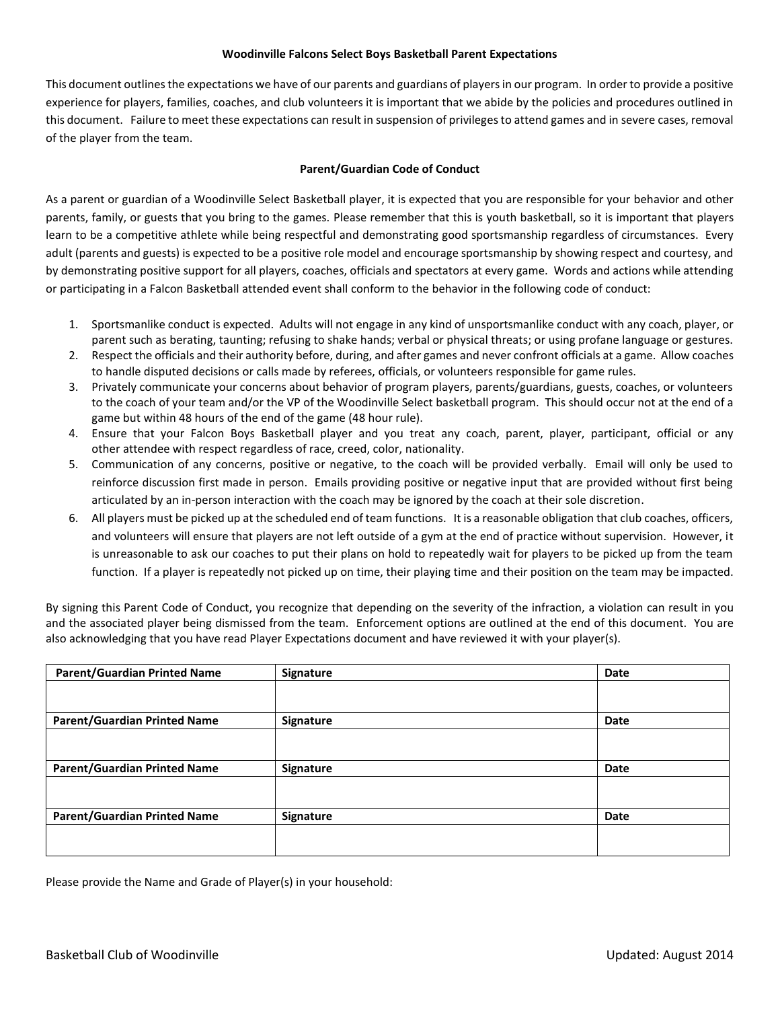## **Woodinville Falcons Select Boys Basketball Parent Expectations**

This document outlines the expectations we have of our parents and guardians of players in our program. In order to provide a positive experience for players, families, coaches, and club volunteers it is important that we abide by the policies and procedures outlined in this document. Failure to meet these expectations can result in suspension of privileges to attend games and in severe cases, removal of the player from the team.

## **Parent/Guardian Code of Conduct**

As a parent or guardian of a Woodinville Select Basketball player, it is expected that you are responsible for your behavior and other parents, family, or guests that you bring to the games. Please remember that this is youth basketball, so it is important that players learn to be a competitive athlete while being respectful and demonstrating good sportsmanship regardless of circumstances. Every adult (parents and guests) is expected to be a positive role model and encourage sportsmanship by showing respect and courtesy, and by demonstrating positive support for all players, coaches, officials and spectators at every game. Words and actions while attending or participating in a Falcon Basketball attended event shall conform to the behavior in the following code of conduct:

- 1. Sportsmanlike conduct is expected. Adults will not engage in any kind of unsportsmanlike conduct with any coach, player, or parent such as berating, taunting; refusing to shake hands; verbal or physical threats; or using profane language or gestures.
- 2. Respect the officials and their authority before, during, and after games and never confront officials at a game. Allow coaches to handle disputed decisions or calls made by referees, officials, or volunteers responsible for game rules.
- 3. Privately communicate your concerns about behavior of program players, parents/guardians, guests, coaches, or volunteers to the coach of your team and/or the VP of the Woodinville Select basketball program. This should occur not at the end of a game but within 48 hours of the end of the game (48 hour rule).
- 4. Ensure that your Falcon Boys Basketball player and you treat any coach, parent, player, participant, official or any other attendee with respect regardless of race, creed, color, nationality.
- 5. Communication of any concerns, positive or negative, to the coach will be provided verbally. Email will only be used to reinforce discussion first made in person. Emails providing positive or negative input that are provided without first being articulated by an in-person interaction with the coach may be ignored by the coach at their sole discretion.
- 6. All players must be picked up at the scheduled end of team functions. It is a reasonable obligation that club coaches, officers, and volunteers will ensure that players are not left outside of a gym at the end of practice without supervision. However, it is unreasonable to ask our coaches to put their plans on hold to repeatedly wait for players to be picked up from the team function. If a player is repeatedly not picked up on time, their playing time and their position on the team may be impacted.

By signing this Parent Code of Conduct, you recognize that depending on the severity of the infraction, a violation can result in you and the associated player being dismissed from the team. Enforcement options are outlined at the end of this document. You are also acknowledging that you have read Player Expectations document and have reviewed it with your player(s).

| <b>Parent/Guardian Printed Name</b> | Signature | Date |
|-------------------------------------|-----------|------|
|                                     |           |      |
| <b>Parent/Guardian Printed Name</b> | Signature | Date |
|                                     |           |      |
| <b>Parent/Guardian Printed Name</b> | Signature | Date |
|                                     |           |      |
| <b>Parent/Guardian Printed Name</b> | Signature | Date |
|                                     |           |      |

Please provide the Name and Grade of Player(s) in your household: